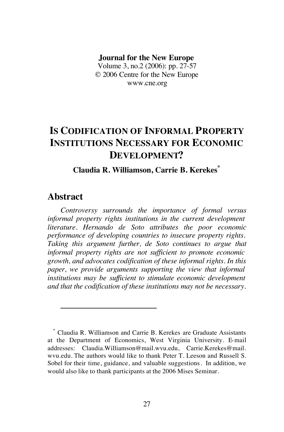#### **Journal for the New Europe**

Volume 3, no.2 (2006): pp. 27-57 © 2006 Centre for the New Europe www.cne.org

# **IS CODIFICATION OF INFORMAL PROPERTY INSTITUTIONS NECESSARY FOR ECONOMIC DEVELOPMENT?**

#### **Claudia R. Williamson, Carrie B. Kerekes\***

### **Abstract**

l

*Controversy surrounds the importance of formal versus informal property rights institutions in the current development literature. Hernando de Soto attributes the poor economic performance of developing countries to insecure property rights. Taking this argument further, de Soto continues to argue that informal property rights are not sufficient to promote economic growth, and advocates codification of these informal rights. In this paper, we provide arguments supporting the view that informal institutions may be sufficient to stimulate economic development and that the codification of these institutions may not be necessary.*

<sup>\*</sup> Claudia R. Williamson and Carrie B. Kerekes are Graduate Assistants at the Department of Economics, West Virginia University. E-mail addresses: Claudia.Williamson@mail.wvu.edu, Carrie.Kerekes@mail. wvu.edu. The authors would like to thank Peter T. Leeson and Russell S. Sobel for their time, guidance, and valuable suggestions. In addition, we would also like to thank participants at the 2006 Mises Seminar.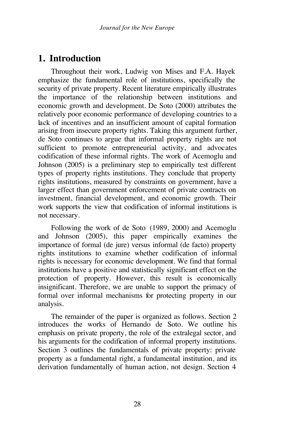# **1. Introduction**

Throughout their work, Ludwig von Mises and F.A. Hayek emphasize the fundamental role of institutions, specifically the security of private property. Recent literature empirically illustrates the importance of the relationship between institutions and economic growth and development. De Soto (2000) attributes the relatively poor economic performance of developing countries to a lack of incentives and an insufficient amount of capital formation arising from insecure property rights. Taking this argument further, de Soto continues to argue that informal property rights are not sufficient to promote entrepreneurial activity, and advocates codification of these informal rights. The work of Acemoglu and Johnson (2005) is a preliminary step to empirically test different types of property rights institutions. They conclude that property rights institutions, measured by constraints on government, have a larger effect than government enforcement of private contracts on investment, financial development, and economic growth. Their work supports the view that codification of informal institutions is not necessary.

Following the work of de Soto (1989, 2000) and Acemoglu and Johnson (2005), this paper empirically examines the importance of formal (de jure) versus informal (de facto) property rights institutions to examine whether codification of informal rights is necessary for economic development. We find that formal institutions have a positive and statistically significant effect on the protection of property. However, this result is economically insignificant. Therefore, we are unable to support the primacy of formal over informal mechanisms for protecting property in our analysis.

The remainder of the paper is organized as follows. Section 2 introduces the works of Hernando de Soto. We outline his emphasis on private property, the role of the extralegal sector, and his arguments for the codification of informal property institutions. Section 3 outlines the fundamentals of private property: private property as a fundamental right, a fundamental institution, and its derivation fundamentally of human action, not design. Section 4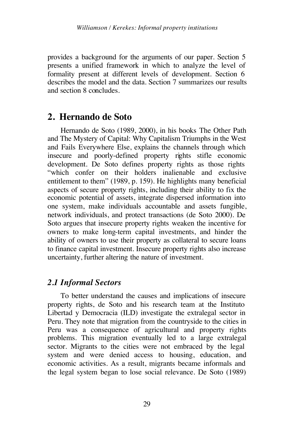provides a background for the arguments of our paper. Section 5 presents a unified framework in which to analyze the level of formality present at different levels of development. Section 6 describes the model and the data. Section 7 summarizes our results and section 8 concludes.

### **2. Hernando de Soto**

Hernando de Soto (1989, 2000), in his books The Other Path and The Mystery of Capital: Why Capitalism Triumphs in the West and Fails Everywhere Else, explains the channels through which insecure and poorly-defined property rights stifle economic development. De Soto defines property rights as those rights "which confer on their holders inalienable and exclusive entitlement to them" (1989, p. 159). He highlights many beneficial aspects of secure property rights, including their ability to fix the economic potential of assets, integrate dispersed information into one system, make individuals accountable and assets fungible, network individuals, and protect transactions (de Soto 2000). De Soto argues that insecure property rights weaken the incentive for owners to make long-term capital investments, and hinder the ability of owners to use their property as collateral to secure loans to finance capital investment. Insecure property rights also increase uncertainty, further altering the nature of investment.

#### *2.1 Informal Sectors*

To better understand the causes and implications of insecure property rights, de Soto and his research team at the Instituto Libertad y Democracia (ILD) investigate the extralegal sector in Peru. They note that migration from the countryside to the cities in Peru was a consequence of agricultural and property rights problems. This migration eventually led to a large extralegal sector. Migrants to the cities were not embraced by the legal system and were denied access to housing, education, and economic activities. As a result, migrants became informals and the legal system began to lose social relevance. De Soto (1989)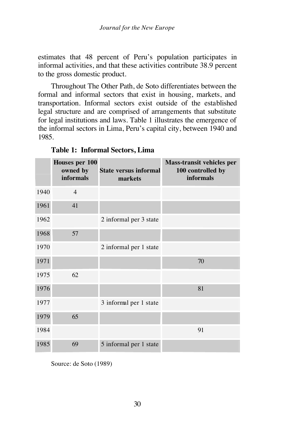estimates that 48 percent of Peru's population participates in informal activities, and that these activities contribute 38.9 percent to the gross domestic product.

Throughout The Other Path, de Soto differentiates between the formal and informal sectors that exist in housing, markets, and transportation. Informal sectors exist outside of the established legal structure and are comprised of arrangements that substitute for legal institutions and laws. Table 1 illustrates the emergence of the informal sectors in Lima, Peru's capital city, between 1940 and 1985.

|      | Houses per 100<br>owned by<br><b>informals</b> | <b>State versus informal</b><br>markets | Mass-transit vehicles per<br>100 controlled by<br><b>informals</b> |
|------|------------------------------------------------|-----------------------------------------|--------------------------------------------------------------------|
| 1940 | $\overline{4}$                                 |                                         |                                                                    |
| 1961 | 41                                             |                                         |                                                                    |
| 1962 |                                                | 2 informal per 3 state                  |                                                                    |
| 1968 | 57                                             |                                         |                                                                    |
| 1970 |                                                | 2 informal per 1 state                  |                                                                    |
| 1971 |                                                |                                         | 70                                                                 |
| 1975 | 62                                             |                                         |                                                                    |
| 1976 |                                                |                                         | 81                                                                 |
| 1977 |                                                | 3 informal per 1 state                  |                                                                    |
| 1979 | 65                                             |                                         |                                                                    |
| 1984 |                                                |                                         | 91                                                                 |
| 1985 | 69                                             | 5 informal per 1 state                  |                                                                    |

#### **Table 1: Informal Sectors, Lima**

Source: de Soto (1989)

30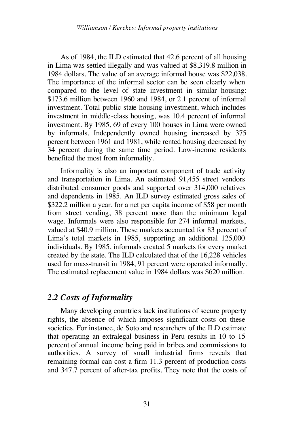As of 1984, the ILD estimated that 42.6 percent of all housing in Lima was settled illegally and was valued at \$8,319.8 million in 1984 dollars. The value of an average informal house was \$22,038. The importance of the informal sector can be seen clearly when compared to the level of state investment in similar housing: \$173.6 million between 1960 and 1984, or 2.1 percent of informal investment. Total public state housing investment, which includes investment in middle-class housing, was 10.4 percent of informal investment. By 1985, 69 of every 100 houses in Lima were owned by informals. Independently owned housing increased by 375 percent between 1961 and 1981, while rented housing decreased by 34 percent during the same time period. Low-income residents benefited the most from informality.

Informality is also an important component of trade activity and transportation in Lima. An estimated 91,455 street vendors distributed consumer goods and supported over 314,000 relatives and dependents in 1985. An ILD survey estimated gross sales of \$322.2 million a year, for a net per capita income of \$58 per month from street vending, 38 percent more than the minimum legal wage. Informals were also responsible for 274 informal markets, valued at \$40.9 million. These markets accounted for 83 percent of Lima's total markets in 1985, supporting an additional 125,000 individuals. By 1985, informals created 5 markets for every market created by the state. The ILD calculated that of the 16,228 vehicles used for mass-transit in 1984, 91 percent were operated informally. The estimated replacement value in 1984 dollars was \$620 million.

### *2.2 Costs of Informality*

Many developing countrie s lack institutions of secure property rights, the absence of which imposes significant costs on these societies. For instance, de Soto and researchers of the ILD estimate that operating an extralegal business in Peru results in 10 to 15 percent of annual income being paid in bribes and commissions to authorities. A survey of small industrial firms reveals that remaining formal can cost a firm 11.3 percent of production costs and 347.7 percent of after-tax profits. They note that the costs of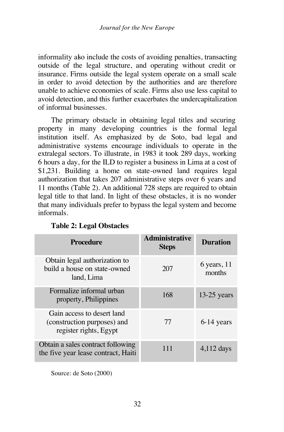informality also include the costs of avoiding penalties, transacting outside of the legal structure, and operating without credit or insurance. Firms outside the legal system operate on a small scale in order to avoid detection by the authorities and are therefore unable to achieve economies of scale. Firms also use less capital to avoid detection, and this further exacerbates the undercapitalization of informal businesses.

The primary obstacle in obtaining legal titles and securing property in many developing countries is the formal legal institution itself. As emphasized by de Soto, bad legal and administrative systems encourage individuals to operate in the extralegal sectors. To illustrate, in 1983 it took 289 days, working 6 hours a day, for the ILD to register a business in Lima at a cost of \$1,231. Building a home on state-owned land requires legal authorization that takes 207 administrative steps over 6 years and 11 months (Table 2). An additional 728 steps are required to obtain legal title to that land. In light of these obstacles, it is no wonder that many individuals prefer to bypass the legal system and become informals.

| <b>Procedure</b>                                                                    | <b>Administrative</b><br><b>Steps</b> | <b>Duration</b>         |
|-------------------------------------------------------------------------------------|---------------------------------------|-------------------------|
| Obtain legal authorization to<br>build a house on state-owned<br>land, Lima         | 207                                   | $6$ years, 11<br>months |
| Formalize informal urban<br>property, Philippines                                   | 168                                   | $13-25$ years           |
| Gain access to desert land<br>(construction purposes) and<br>register rights, Egypt | 77                                    | 6-14 years              |
| Obtain a sales contract following<br>the five year lease contract, Haiti            | 111                                   | $4,112$ days            |

#### **Table 2: Legal Obstacles**

Source: de Soto (2000)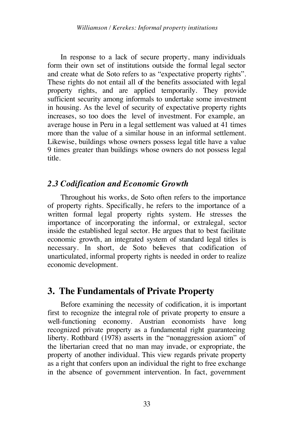In response to a lack of secure property, many individuals form their own set of institutions outside the formal legal sector and create what de Soto refers to as "expectative property rights". These rights do not entail all of the benefits associated with legal property rights, and are applied temporarily. They provide sufficient security among informals to undertake some investment in housing. As the level of security of expectative property rights increases, so too does the level of investment. For example, an average house in Peru in a legal settlement was valued at 41 times more than the value of a similar house in an informal settlement. Likewise, buildings whose owners possess legal title have a value 9 times greater than buildings whose owners do not possess legal title.

### *2.3 Codification and Economic Growth*

Throughout his works, de Soto often refers to the importance of property rights. Specifically, he refers to the importance of a written formal legal property rights system. He stresses the importance of incorporating the informal, or extralegal, sector inside the established legal sector. He argues that to best facilitate economic growth, an integrated system of standard legal titles is necessary. In short, de Soto believes that codification of unarticulated, informal property rights is needed in order to realize economic development.

### **3. The Fundamentals of Private Property**

Before examining the necessity of codification, it is important first to recognize the integral role of private property to ensure a well-functioning economy. Austrian economists have long recognized private property as a fundamental right guaranteeing liberty. Rothbard (1978) asserts in the "nonaggression axiom" of the libertarian creed that no man may invade, or expropriate, the property of another individual. This view regards private property as a right that confers upon an individual the right to free exchange in the absence of government intervention. In fact, government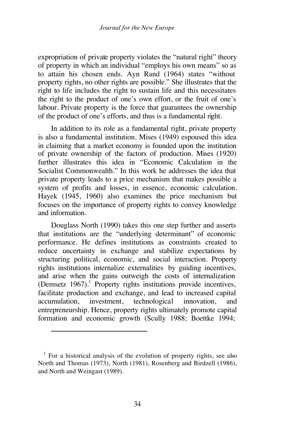expropriation of private property violates the "natural right" theory of property in which an individual "employs his own means" so as to attain his chosen ends. Ayn Rand (1964) states "without property rights, no other rights are possible." She illustrates that the right to life includes the right to sustain life and this necessitates the right to the product of one's own effort, or the fruit of one's labour. Private property is the force that guarantees the ownership of the product of one's efforts, and thus is a fundamental right.

In addition to its role as a fundamental right, private property is also a fundamental institution. Mises (1949) espoused this idea in claiming that a market economy is founded upon the institution of private ownership of the factors of production. Mises (1920) further illustrates this idea in "Economic Calculation in the Socialist Commonwealth." In this work he addresses the idea that private property leads to a price mechanism that makes possible a system of profits and losses, in essence, economic calculation. Hayek (1945, 1960) also examines the price mechanism but focuses on the importance of property rights to convey knowledge and information.

Douglass North (1990) takes this one step further and asserts that institutions are the "underlying determinant" of economic performance. He defines institutions as constraints created to reduce uncertainty in exchange and stabilize expectations by structuring political, economic, and social interaction. Property rights institutions internalize externalities by guiding incentives, and arise when the gains outweigh the costs of internalization (Demsetz 1967).<sup>1</sup> Property rights institutions provide incentives, facilitate production and exchange, and lead to increased capital accumulation, investment, technological innovation, and entrepreneurship. Hence, property rights ultimately promote capital formation and economic growth (Scully 1988; Boettke 1994;

l

 $1$  For a historical analysis of the evolution of property rights, see also North and Thomas (1973), North (1981), Rosenberg and Birdzell (1986), and North and Weingast (1989).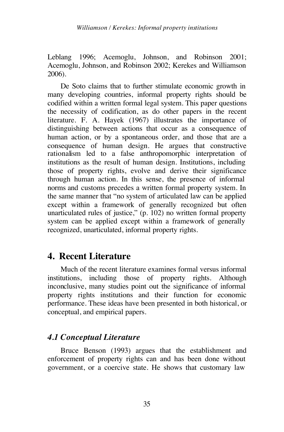Leblang 1996; Acemoglu, Johnson, and Robinson 2001; Acemoglu, Johnson, and Robinson 2002; Kerekes and Williamson 2006).

De Soto claims that to further stimulate economic growth in many developing countries, informal property rights should be codified within a written formal legal system. This paper questions the necessity of codification, as do other papers in the recent literature. F. A. Hayek (1967) illustrates the importance of distinguishing between actions that occur as a consequence of human action, or by a spontaneous order, and those that are a consequence of human design. He argues that constructive rationalism led to a false anthropomorphic interpretation of institutions as the result of human design. Institutions, including those of property rights, evolve and derive their significance through human action. In this sense, the presence of informal norms and customs precedes a written formal property system. In the same manner that "no system of articulated law can be applied except within a framework of generally recognized but often unarticulated rules of justice," (p. 102) no written formal property system can be applied except within a framework of generally recognized, unarticulated, informal property rights.

### **4. Recent Literature**

Much of the recent literature examines formal versus informal institutions, including those of property rights. Although inconclusive, many studies point out the significance of informal property rights institutions and their function for economic performance. These ideas have been presented in both historical, or conceptual, and empirical papers.

### *4.1 Conceptual Literature*

Bruce Benson (1993) argues that the establishment and enforcement of property rights can and has been done without government, or a coercive state. He shows that customary law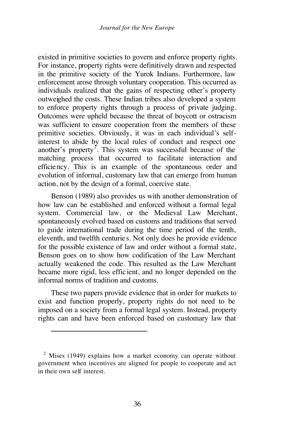existed in primitive societies to govern and enforce property rights. For instance, property rights were definitively drawn and respected in the primitive society of the Yurok Indians. Furthermore, law enforcement arose through voluntary cooperation. This occurred as individuals realized that the gains of respecting other's property outweighed the costs. These Indian tribes also developed a system to enforce property rights through a process of private judging. Outcomes were upheld because the threat of boycott or ostracism was sufficient to ensure cooperation from the members of these primitive societies. Obviously, it was in each individual's selfinterest to abide by the local rules of conduct and respect one another's property<sup>2</sup>. This system was successful because of the matching process that occurred to facilitate interaction and efficiency. This is an example of the spontaneous order and evolution of informal, customary law that can emerge from human action, not by the design of a formal, coercive state.

Benson (1989) also provides us with another demonstration of how law can be established and enforced without a formal legal system. Commercial law, or the Medieval Law Merchant, spontaneously evolved based on customs and traditions that served to guide international trade during the time period of the tenth, eleventh, and twelfth centurie s. Not only does he provide evidence for the possible existence of law and order without a formal state, Benson goes on to show how codification of the Law Merchant actually weakened the code. This resulted as the Law Merchant became more rigid, less effic ient, and no longer depended on the informal norms of tradition and customs.

These two papers provide evidence that in order for markets to exist and function properly, property rights do not need to be imposed on a society from a formal legal system. Instead, property rights can and have been enforced based on customary law that

l

 $2$  Mises (1949) explains how a market economy can operate without government when incentives are aligned for people to cooperate and act in their own self interest.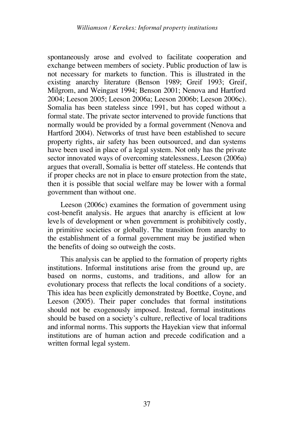spontaneously arose and evolved to facilitate cooperation and exchange between members of society. Public production of law is not necessary for markets to function. This is illustrated in the existing anarchy literature (Benson 1989; Greif 1993; Greif, Milgrom, and Weingast 1994; Benson 2001; Nenova and Hartford 2004; Leeson 2005; Leeson 2006a; Leeson 2006b; Leeson 2006c). Somalia has been stateless since 1991, but has coped without a formal state. The private sector intervened to provide functions that normally would be provided by a formal government (Nenova and Hartford 2004). Networks of trust have been established to secure property rights, air safety has been outsourced, and clan systems have been used in place of a legal system. Not only has the private sector innovated ways of overcoming statelessness, Leeson (2006a) argues that overall, Somalia is better off stateless. He contends that if proper checks are not in place to ensure protection from the state, then it is possible that social welfare may be lower with a formal government than without one.

Leeson (2006c) examines the formation of government using cost-benefit analysis. He argues that anarchy is efficient at low levels of development or when government is prohibitively costly, in primitive societies or globally. The transition from anarchy to the establishment of a formal government may be justified when the benefits of doing so outweigh the costs.

This analysis can be applied to the formation of property rights institutions. Informal institutions arise from the ground up, are based on norms, customs, and traditions, and allow for an evolutionary process that reflects the local conditions of a society. This idea has been explicitly demonstrated by Boettke, Coyne, and Leeson (2005). Their paper concludes that formal institutions should not be exogenously imposed. Instead, formal institutions should be based on a society's culture, reflective of local traditions and informal norms. This supports the Hayekian view that informal institutions are of human action and precede codification and a written formal legal system.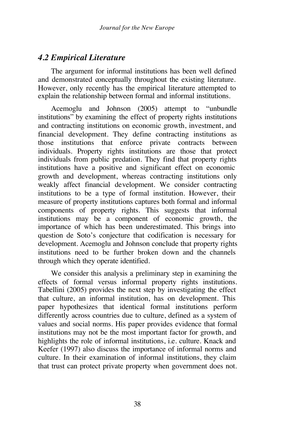### *4.2 Empirical Literature*

The argument for informal institutions has been well defined and demonstrated conceptually throughout the existing literature. However, only recently has the empirical literature attempted to explain the relationship between formal and informal institutions.

Acemoglu and Johnson (2005) attempt to "unbundle institutions" by examining the effect of property rights institutions and contracting institutions on economic growth, investment, and financial development. They define contracting institutions as those institutions that enforce private contracts between individuals. Property rights institutions are those that protect individuals from public predation. They find that property rights institutions have a positive and significant effect on economic growth and development, whereas contracting institutions only weakly affect financial development. We consider contracting institutions to be a type of formal institution. However, their measure of property institutions captures both formal and informal components of property rights. This suggests that informal institutions may be a component of economic growth, the importance of which has been underestimated. This brings into question de Soto's conjecture that codification is necessary for development. Acemoglu and Johnson conclude that property rights institutions need to be further broken down and the channels through which they operate identified.

We consider this analysis a preliminary step in examining the effects of formal versus informal property rights institutions. Tabellini (2005) provides the next step by investigating the effect that culture, an informal institution, has on development. This paper hypothesizes that identical formal institutions perform differently across countries due to culture, defined as a system of values and social norms. His paper provides evidence that formal institutions may not be the most important factor for growth, and highlights the role of informal institutions, i.e. culture. Knack and Keefer (1997) also discuss the importance of informal norms and culture. In their examination of informal institutions, they claim that trust can protect private property when government does not.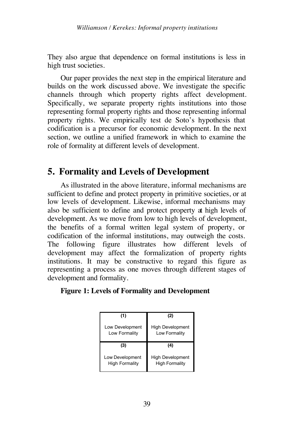They also argue that dependence on formal institutions is less in high trust societies.

Our paper provides the next step in the empirical literature and builds on the work discussed above. We investigate the specific channels through which property rights affect development. Specifically, we separate property rights institutions into those representing formal property rights and those representing informal property rights. We empirically test de Soto's hypothesis that codification is a precursor for economic development. In the next section, we outline a unified framework in which to examine the role of formality at different levels of development.

### **5. Formality and Levels of Development**

As illustrated in the above literature, informal mechanisms are sufficient to define and protect property in primitive societies, or at low levels of development. Likewise, informal mechanisms may also be sufficient to define and protect property at high levels of development. As we move from low to high levels of development, the benefits of a formal written legal system of property, or codification of the informal institutions, may outweigh the costs. The following figure illustrates how different levels of development may affect the formalization of property rights institutions. It may be constructive to regard this figure as representing a process as one moves through different stages of development and formality.

| (1)                              | (2)                                      |  |  |  |
|----------------------------------|------------------------------------------|--|--|--|
| Low Development<br>Low Formality | <b>High Development</b><br>Low Formality |  |  |  |
|                                  |                                          |  |  |  |
| (3)                              | (4)                                      |  |  |  |

**Figure 1: Levels of Formality and Development**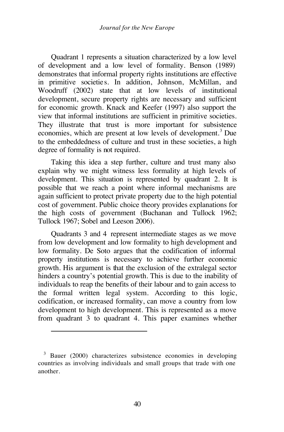Quadrant 1 represents a situation characterized by a low level of development and a low level of formality. Benson (1989) demonstrates that informal property rights institutions are effective in primitive societie s. In addition, Johnson, McMillan, and Woodruff (2002) state that at low levels of institutional development, secure property rights are necessary and sufficient for economic growth. Knack and Keefer (1997) also support the view that informal institutions are sufficient in primitive societies. They illustrate that trust is more important for subsistence economies, which are present at low levels of development.<sup>3</sup> Due to the embeddedness of culture and trust in these societies, a high degree of formality is not required.

Taking this idea a step further, culture and trust many also explain why we might witness less formality at high levels of development. This situation is represented by quadrant 2. It is possible that we reach a point where informal mechanisms are again sufficient to protect private property due to the high potential cost of government. Public choice theory provides explanations for the high costs of government (Buchanan and Tullock 1962; Tullock 1967; Sobel and Leeson 2006).

Quadrants 3 and 4 represent intermediate stages as we move from low development and low formality to high development and low formality. De Soto argues that the codification of informal property institutions is necessary to achieve further economic growth. His argument is that the exclusion of the extralegal sector hinders a country's potential growth. This is due to the inability of individuals to reap the benefits of their labour and to gain access to the formal written legal system. According to this logic, codification, or increased formality, can move a country from low development to high development. This is represented as a move from quadrant 3 to quadrant 4. This paper examines whether

l

<sup>&</sup>lt;sup>3</sup> Bauer (2000) characterizes subsistence economies in developing countries as involving individuals and small groups that trade with one another.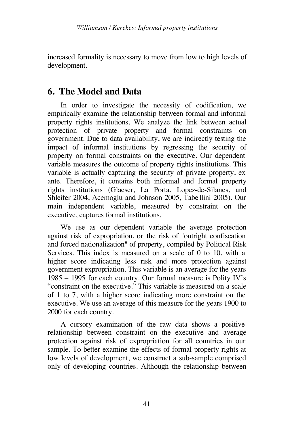increased formality is necessary to move from low to high levels of development.

## **6. The Model and Data**

In order to investigate the necessity of codification, we empirically examine the relationship between formal and informal property rights institutions. We analyze the link between actual protection of private property and formal constraints on government. Due to data availability, we are indirectly testing the impact of informal institutions by regressing the security of property on formal constraints on the executive. Our dependent variable measures the outcome of property rights institutions. This variable is actually capturing the security of private property, ex ante. Therefore, it contains both informal and formal property rights institutions (Glaeser, La Porta, Lopez-de-Silanes, and Shleifer 2004, Acemoglu and Johnson 2005, Tabe llini 2005). Our main independent variable, measured by constraint on the executive, captures formal institutions.

We use as our dependent variable the average protection against risk of expropriation, or the risk of "outright confiscation and forced nationalization" of property, compiled by Political Risk Services. This index is measured on a scale of 0 to 10, with a higher score indicating less risk and more protection against government expropriation. This variable is an average for the years 1985 – 1995 for each country. Our formal measure is Polity IV's "constraint on the executive." This variable is measured on a scale of 1 to 7, with a higher score indicating more constraint on the executive. We use an average of this measure for the years 1900 to 2000 for each country.

A cursory examination of the raw data shows a positive relationship between constraint on the executive and average protection against risk of expropriation for all countries in our sample. To better examine the effects of formal property rights at low levels of development, we construct a sub-sample comprised only of developing countries. Although the relationship between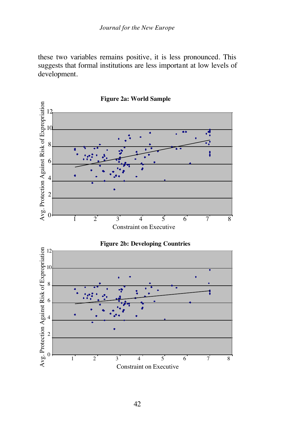these two variables remains positive, it is less pronounced. This suggests that formal institutions are less important at low levels of development.

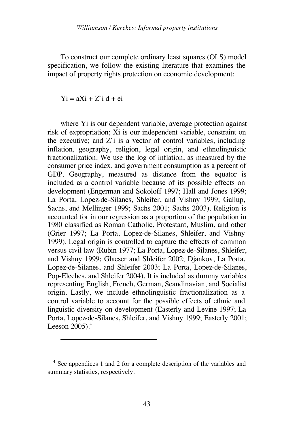To construct our complete ordinary least squares (OLS) model specification, we follow the existing literature that examines the impact of property rights protection on economic development:

 $Y$ i = a $X$ i +  $Z$  i d + ei

l

where Yi is our dependent variable, average protection against risk of expropriation; Xi is our independent variable, constraint on the executive; and  $\overline{Z}$  is a vector of control variables, including inflation, geography, religion, legal origin, and ethnolinguistic fractionalization. We use the log of inflation, as measured by the consumer price index, and government consumption as a percent of GDP. Geography, measured as distance from the equator is included as a control variable because of its possible effects on development (Engerman and Sokoloff 1997; Hall and Jones 1999; La Porta, Lopez-de-Silanes, Shleifer, and Vishny 1999; Gallup, Sachs, and Mellinger 1999; Sachs 2001; Sachs 2003). Religion is accounted for in our regression as a proportion of the population in 1980 classified as Roman Catholic, Protestant, Muslim, and other (Grier 1997; La Porta, Lopez-de-Silanes, Shleifer, and Vishny 1999). Legal origin is controlled to capture the effects of common versus civil law (Rubin 1977; La Porta, Lopez-de-Silanes, Shleifer, and Vishny 1999; Glaeser and Shleifer 2002; Djankov, La Porta, Lopez-de-Silanes, and Shleifer 2003; La Porta, Lopez-de-Silanes, Pop-Eleches, and Shleifer 2004). It is included as dummy variables representing English, French, German, Scandinavian, and Socialist origin. Lastly, we include ethnolinguistic fractionalization as a control variable to account for the possible effects of ethnic and linguistic diversity on development (Easterly and Levine 1997; La Porta, Lopez-de-Silanes, Shleifer, and Vishny 1999; Easterly 2001; Leeson  $2005$ ).<sup>4</sup>

<sup>&</sup>lt;sup>4</sup> See appendices 1 and 2 for a complete description of the variables and summary statistics, respectively.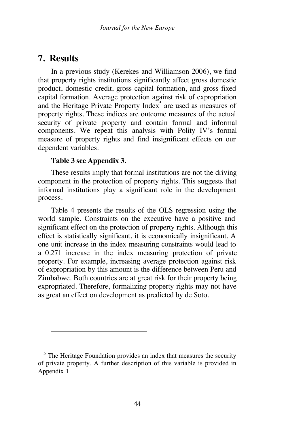## **7. Results**

l

In a previous study (Kerekes and Williamson 2006), we find that property rights institutions significantly affect gross domestic product, domestic credit, gross capital formation, and gross fixed capital formation. Average protection against risk of expropriation and the Heritage Private Property Index<sup>5</sup> are used as measures of property rights. These indices are outcome measures of the actual security of private property and contain formal and informal components. We repeat this analysis with Polity IV's formal measure of property rights and find insignificant effects on our dependent variables.

#### **Table 3 see Appendix 3.**

These results imply that formal institutions are not the driving component in the protection of property rights. This suggests that informal institutions play a significant role in the development process.

Table 4 presents the results of the OLS regression using the world sample. Constraints on the executive have a positive and significant effect on the protection of property rights. Although this effect is statistically significant, it is economically insignificant. A one unit increase in the index measuring constraints would lead to a 0.271 increase in the index measuring protection of private property. For example, increasing average protection against risk of expropriation by this amount is the difference between Peru and Zimbabwe. Both countries are at great risk for their property being expropriated. Therefore, formalizing property rights may not have as great an effect on development as predicted by de Soto.

<sup>&</sup>lt;sup>5</sup> The Heritage Foundation provides an index that measures the security of private property. A further description of this variable is provided in Appendix 1.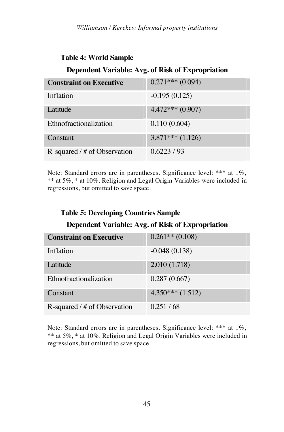#### **Table 4: World Sample**

### **Dependent Variable: Avg. of Risk of Expropriation**

| <b>Constraint on Executive</b> | $0.271***(0.094)$ |
|--------------------------------|-------------------|
| Inflation                      | $-0.195(0.125)$   |
| Latitude                       | $4.472***(0.907)$ |
| Ethnofractionalization         | 0.110(0.604)      |
| Constant                       | $3.871***(1.126)$ |
| R-squared $/$ # of Observation | 0.6223/93         |

Note: Standard errors are in parentheses. Significance level: \*\*\* at 1%, \*\* at 5%, \* at 10%. Religion and Legal Origin Variables were included in regressions, but omitted to save space.

### **Table 5: Developing Countries Sample**

#### **Dependent Variable: Avg. of Risk of Expropriation**

| <b>Constraint on Executive</b> | $0.261**$ (0.108) |
|--------------------------------|-------------------|
| Inflation                      | $-0.048(0.138)$   |
| Latitude                       | 2.010(1.718)      |
| Ethnofractionalization         | 0.287(0.667)      |
| Constant                       | $4.350***(1.512)$ |
| R-squared $/$ # of Observation | 0.251 / 68        |

Note: Standard errors are in parentheses. Significance level: \*\*\* at 1%, \*\* at 5%, \* at 10%. Religion and Legal Origin Variables were included in regressions, but omitted to save space.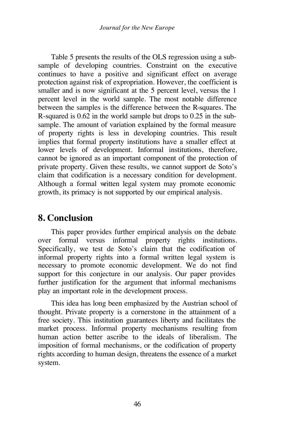Table 5 presents the results of the OLS regression using a subsample of developing countries. Constraint on the executive continues to have a positive and significant effect on average protection against risk of expropriation. However, the coefficient is smaller and is now significant at the 5 percent level, versus the 1 percent level in the world sample. The most notable difference between the samples is the difference between the R-squares. The R-squared is 0.62 in the world sample but drops to 0.25 in the subsample. The amount of variation explained by the formal measure of property rights is less in developing countries. This result implies that formal property institutions have a smaller effect at lower levels of development. Informal institutions, therefore, cannot be ignored as an important component of the protection of private property. Given these results, we cannot support de Soto's claim that codification is a necessary condition for development. Although a formal written legal system may promote economic growth, its primacy is not supported by our empirical analysis.

## **8. Conclusion**

This paper provides further empirical analysis on the debate over formal versus informal property rights institutions. Specifically, we test de Soto's claim that the codification of informal property rights into a formal written legal system is necessary to promote economic development. We do not find support for this conjecture in our analysis. Our paper provides further justification for the argument that informal mechanisms play an important role in the development process.

This idea has long been emphasized by the Austrian school of thought. Private property is a cornerstone in the attainment of a free society. This institution guarantees liberty and facilitates the market process. Informal property mechanisms resulting from human action better ascribe to the ideals of liberalism. The imposition of formal mechanisms, or the codification of property rights according to human design, threatens the essence of a market system.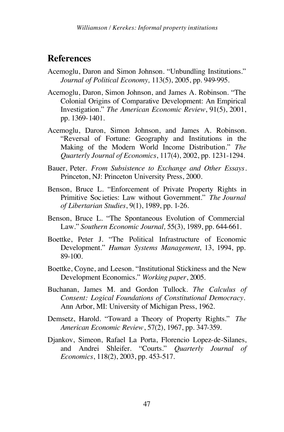### **References**

- Acemoglu, Daron and Simon Johnson. "Unbundling Institutions." *Journal of Political Economy,* 113(5), 2005, pp. 949-995.
- Acemoglu, Daron, Simon Johnson, and James A. Robinson. "The Colonial Origins of Comparative Development: An Empirical Investigation." *The American Economic Review*, 91(5), 2001, pp. 1369-1401.
- Acemoglu, Daron, Simon Johnson, and James A. Robinson. "Reversal of Fortune: Geography and Institutions in the Making of the Modern World Income Distribution." *The Quarterly Journal of Economics*, 117(4), 2002, pp. 1231-1294.
- Bauer, Peter. *From Subsistence to Exchange and Other Essays*. Princeton, NJ: Princeton University Press, 2000.
- Benson, Bruce L. "Enforcement of Private Property Rights in Primitive Soc ieties: Law without Government." *The Journal of Libertarian Studies*, 9(1), 1989, pp. 1-26.
- Benson, Bruce L. "The Spontaneous Evolution of Commercial Law." *Southern Economic Journal,* 55(3), 1989, pp. 644-661.
- Boettke, Peter J. "The Political Infrastructure of Economic Development." *Human Systems Management*, 13, 1994, pp. 89-100.
- Boettke, Coyne, and Leeson. "Institutional Stickiness and the New Development Economics." *Working paper*, 2005.
- Buchanan, James M. and Gordon Tullock. *The Calculus of Consent: Logical Foundations of Constitutional Democracy.*  Ann Arbor, MI: University of Michigan Press, 1962.
- Demsetz, Harold. "Toward a Theory of Property Rights." *The American Economic Review*, 57(2), 1967, pp. 347-359.
- Djankov, Simeon, Rafael La Porta, Florencio Lopez-de-Silanes, and Andrei Shleifer. "Courts." *Quarterly Journal of Economics*, 118(2), 2003, pp. 453-517.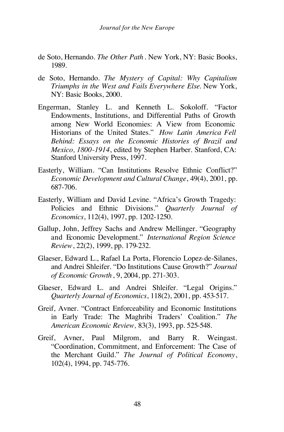- de Soto, Hernando. *The Other Path*. New York, NY: Basic Books, 1989.
- de Soto, Hernando. *The Mystery of Capital: Why Capitalism Triumphs in the West and Fails Everywhere Else*. New York, NY: Basic Books, 2000.
- Engerman, Stanley L. and Kenneth L. Sokoloff. "Factor Endowments, Institutions, and Differential Paths of Growth among New World Economies: A View from Economic Historians of the United States." *How Latin America Fell Behind: Essays on the Economic Histories of Brazil and Mexico, 1800-1914*, edited by Stephen Harber. Stanford, CA: Stanford University Press, 1997.
- Easterly, William. "Can Institutions Resolve Ethnic Conflict?" *Economic Development and Cultural Change*, 49(4), 2001, pp. 687-706.
- Easterly, William and David Levine. "Africa's Growth Tragedy: Policies and Ethnic Divisions." *Quarterly Journal of Economics*, 112(4), 1997, pp. 1202-1250.
- Gallup, John, Jeffrey Sachs and Andrew Mellinger. "Geography and Economic Development." *International Region Science Review*, 22(2), 1999, pp. 179-232.
- Glaeser, Edward L., Rafael La Porta, Florencio Lopez-de-Silanes, and Andrei Shleifer. "Do Institutions Cause Growth?" *Journal of Economic Growth*, 9, 2004, pp. 271-303.
- Glaeser, Edward L. and Andrei Shleifer. "Legal Origins." *Quarterly Journal of Economics*, 118(2), 2001, pp. 453-517.
- Greif, Avner. "Contract Enforceability and Economic Institutions in Early Trade: The Maghribi Traders' Coalition." *The American Economic Review,* 83(3), 1993, pp. 525-548.
- Greif, Avner, Paul Milgrom, and Barry R. Weingast. "Coordination, Commitment, and Enforcement: The Case of the Merchant Guild." *The Journal of Political Economy*, 102(4), 1994, pp. 745-776.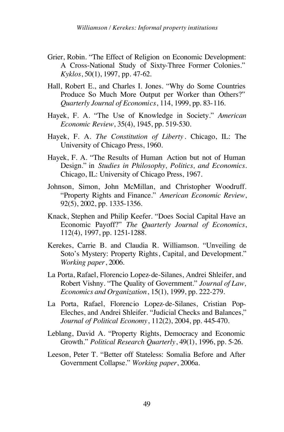- Grier, Robin. "The Effect of Religion on Economic Development: A Cross-National Study of Sixty-Three Former Colonies." *Kyklos*, 50(1), 1997, pp. 47-62.
- Hall, Robert E., and Charles I. Jones. "Why do Some Countries Produce So Much More Output per Worker than Others?" *Quarterly Journal of Economics*, 114, 1999, pp. 83-116.
- Hayek, F. A. "The Use of Knowledge in Society." *American Economic Review*, 35(4), 1945, pp. 519-530.
- Hayek, F. A. *The Constitution of Liberty* . Chicago, IL: The University of Chicago Press, 1960.
- Hayek, F. A. "The Results of Human Action but not of Human Design." in *Studies in Philosophy, Politics, and Economics.* Chicago, IL: University of Chicago Press, 1967.
- Johnson, Simon, John McMillan, and Christopher Woodruff. "Property Rights and Finance." *American Economic Review*, 92(5), 2002, pp. 1335-1356.
- Knack, Stephen and Philip Keefer. "Does Social Capital Have an Economic Payoff?" *The Quarterly Journal of Economics*, 112(4), 1997, pp. 1251-1288.
- Kerekes, Carrie B. and Claudia R. Williamson. "Unveiling de Soto's Mystery: Property Rights, Capital, and Development." *Working paper*, 2006.
- La Porta, Rafael, Florencio Lopez-de-Silanes, Andrei Shleifer, and Robert Vishny. "The Quality of Government." *Journal of Law, Economics and Organization*, 15(1), 1999, pp. 222-279.
- La Porta, Rafael, Florencio Lopez-de-Silanes, Cristian Pop-Eleches, and Andrei Shleifer. "Judicial Checks and Balances," *Journal of Political Economy*, 112(2), 2004, pp. 445-470.
- Leblang, David A. "Property Rights, Democracy and Economic Growth." *Political Research Quarterly*, 49(1), 1996, pp. 5-26.
- Leeson, Peter T. "Better off Stateless: Somalia Before and After Government Collapse." *Working paper*, 2006a.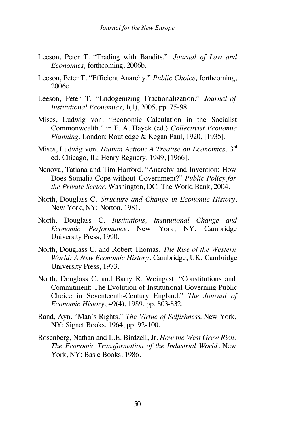- Leeson, Peter T. "Trading with Bandits." *Journal of Law and Economics,* forthcoming, 2006b.
- Leeson, Peter T. "Efficient Anarchy." *Public Choice,* forthcoming, 2006c.
- Leeson, Peter T. "Endogenizing Fractionalization." *Journal of Institutional Economics*, 1(1), 2005, pp. 75-98.
- Mises, Ludwig von. "Economic Calculation in the Socialist Commonwealth." in F. A. Hayek (ed.) *Collectivist Economic Planning*. London: Routledge & Kegan Paul, 1920, [1935].
- Mises, Ludwig von. *Human Action: A Treatise on Economics.* 3rd ed. Chicago, IL: Henry Regnery, 1949, [1966].
- Nenova, Tatiana and Tim Harford. "Anarchy and Invention: How Does Somalia Cope without Government?" *Public Policy for the Private Sector*. Washington, DC: The World Bank, 2004.
- North, Douglass C. *Structure and Change in Economic History*. New York, NY: Norton, 1981.
- North, Douglass C. *Institutions, Institutional Change and Economic Performance*. New York, NY: Cambridge University Press, 1990.
- North, Douglass C. and Robert Thomas. *The Rise of the Western World: A New Economic History*. Cambridge, UK: Cambridge University Press, 1973.
- North, Douglass C. and Barry R. Weingast. "Constitutions and Commitment: The Evolution of Institutional Governing Public Choice in Seventeenth-Century England." *The Journal of Economic History*, 49(4), 1989, pp. 803-832.
- Rand, Ayn. "Man's Rights." *The Virtue of Selfishness*. New York, NY: Signet Books, 1964, pp. 92-100.
- Rosenberg, Nathan and L.E. Birdzell, Jr. *How the West Grew Rich: The Economic Transformation of the Industrial World* . New York, NY: Basic Books, 1986.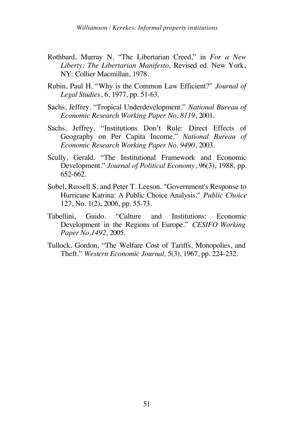- Rothbard, Murray N. "The Libertarian Creed," in *For a New Liberty: The Libertarian Manifesto,* Revised ed. New York, NY: Collier Macmillan, 1978.
- Rubin, Paul H. "Why is the Common Law Efficient?" *Journal of Legal Studies*, 6, 1977, pp. 51-63.
- Sachs, Jeffrey. "Tropical Underdevelopment." *National Bureau of Economic Research Working Paper No. 8119*, 2001.
- Sachs, Jeffrey. "Institutions Don't Rule: Direct Effects of Geography on Per Capita Income." *National Bureau of Economic Research Working Paper No. 9490*, 2003.
- Scully, Gerald. "The Institutional Framework and Economic Development." *Journal of Political Economy*, 96(3), 1988, pp. 652-662.
- Sobel, Russell S. and Peter T. Leeson. "Government's Response to Hurricane Katrina: A Public Choice Analysis." *Public Choice* 127, No. 1(2), 2006, pp. 55-73.
- Tabellini, Guido. "Culture and Institutions: Economic Development in the Regions of Europe." *CESIFO Working Paper No.1492*, 2005.
- Tullock, Gordon, "The Welfare Cost of Tariffs, Monopolies, and Theft." *Western Economic Journal,* 5(3), 1967, pp. 224-232.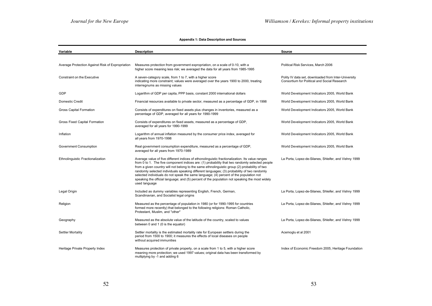#### **Appendix 1: Data Description and Sources**

| Variable                                         | <b>Description</b>                                                                                                                                                                                                                                                                                                                                                                                                                                                                                                                                                                                             | Source                                                                                               |
|--------------------------------------------------|----------------------------------------------------------------------------------------------------------------------------------------------------------------------------------------------------------------------------------------------------------------------------------------------------------------------------------------------------------------------------------------------------------------------------------------------------------------------------------------------------------------------------------------------------------------------------------------------------------------|------------------------------------------------------------------------------------------------------|
|                                                  |                                                                                                                                                                                                                                                                                                                                                                                                                                                                                                                                                                                                                |                                                                                                      |
| Average Protection Against Risk of Expropriation | Measures protection from government expropriation, on a scale of 0-10, with a<br>higher score meaning less risk; we averaged the data for all years from 1985-1995                                                                                                                                                                                                                                                                                                                                                                                                                                             | Political Risk Services, March 2006                                                                  |
| <b>Constraint on the Executive</b>               | A seven-category scale, from 1 to 7, with a higher score<br>indicating more constraint; values were averaged over the years 1900 to 2000, treating<br>interregnums as missing values                                                                                                                                                                                                                                                                                                                                                                                                                           | Polity IV data set, downloaded from Inter-University<br>Consortium for Political and Social Research |
| GDP                                              | Logarithm of GDP per capita, PPP basis, constant 2000 international dollars                                                                                                                                                                                                                                                                                                                                                                                                                                                                                                                                    | World Development Indicators 2005, World Bank                                                        |
| Domestic Credit                                  | Financial resources available to private sector, measured as a percentage of GDP, in 1998                                                                                                                                                                                                                                                                                                                                                                                                                                                                                                                      | World Development Indicators 2005, World Bank                                                        |
| Gross Capital Formation                          | Consists of expenditures on fixed assets plus changes in inventories, measured as a<br>percentage of GDP, averaged for all years for 1990-1999                                                                                                                                                                                                                                                                                                                                                                                                                                                                 | World Development Indicators 2005, World Bank                                                        |
| Gross Fixed Capital Formation                    | Consists of expenditures on fixed assets, measured as a percentage of GDP,<br>averaged for all years for 1990-1999                                                                                                                                                                                                                                                                                                                                                                                                                                                                                             | World Development Indicators 2005, World Bank                                                        |
| Inflation                                        | Logarithm of annual inflation measured by the consumer price index, averaged for<br>all years from 1970-1998                                                                                                                                                                                                                                                                                                                                                                                                                                                                                                   | World Development Indicators 2005, World Bank                                                        |
| Government Consumption                           | Real government consumption expenditure, measured as a percentage of GDP,<br>averaged for all years from 1970-1989                                                                                                                                                                                                                                                                                                                                                                                                                                                                                             | World Development Indicators 2005, World Bank                                                        |
| Ethnolinguistic Fractionalization                | Average value of five different indices of ethonolinguistic fractionalization. Its value ranges<br>from 0 to 1. The five component indices are: (1) probability that two randomly selected people<br>from a given country will not belong to the same ethnolinguistic group (2) probability of two<br>randomly selected individuals speaking different languages; (3) probability of two randomly<br>selected individuals do not speak the same language; (4) percent of the population not<br>speaking the official language; and (5) percent of the population not speaking the most widely<br>used language | La Porta, Lopez-de-Silanes, Shleifer, and Vishny 1999                                                |
| Legal Origin                                     | Included as dummy variables representing English, French, German,<br>Scandinavian, and Socialist legal origins                                                                                                                                                                                                                                                                                                                                                                                                                                                                                                 | La Porta, Lopez-de-Silanes, Shleifer, and Vishny 1999                                                |
| Religion                                         | Measured as the percentage of population in 1980 (or for 1990-1995 for countries<br>formed more recently) that belonged to the following religions: Roman Catholic,<br>Protestant, Muslim, and "other"                                                                                                                                                                                                                                                                                                                                                                                                         | La Porta, Lopez-de-Silanes, Shleifer, and Vishny 1999                                                |
| Geography                                        | Measured as the absolute value of the latitude of the country, scaled to values<br>between 0 and 1 (0 is the equator)                                                                                                                                                                                                                                                                                                                                                                                                                                                                                          | La Porta, Lopez-de-Silanes, Shleifer, and Vishny 1999                                                |
| <b>Settler Mortality</b>                         | Settler mortality is the estimated mortality rate for European settlers during the<br>period from 1500 to 1900; it measures the effects of local diseases on people<br>without acquired immunities                                                                                                                                                                                                                                                                                                                                                                                                             | Acemoglu et al 2001                                                                                  |
| Heritage Private Property Index                  | Measures protection of private property, on a scale from 1 to 5, with a higher score<br>meaning more protection; we used 1997 values; original data has been transformed by<br>multiplying by -1 and adding 6                                                                                                                                                                                                                                                                                                                                                                                                  | Index of Economic Freedom 2005, Heritage Foundation                                                  |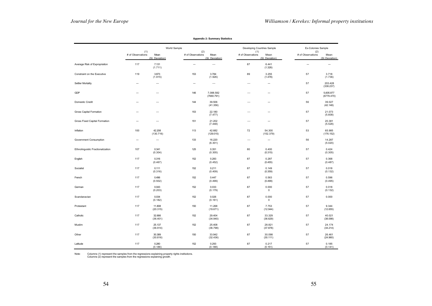|                                   | World Sample             |                          |                          | Developing Countries Sample |                          |                                            | Ex-Colonies Sample       |                         |
|-----------------------------------|--------------------------|--------------------------|--------------------------|-----------------------------|--------------------------|--------------------------------------------|--------------------------|-------------------------|
|                                   | (1)<br># of Observations | Mean<br>(St. Deviation)  | (2)<br># of Observations | Mean<br>(St. Deviation)     | (1)<br># of Observations | Mean<br>(St. Deviation)                    | (2)<br># of Observations | Mean<br>(St. Deviation) |
| Average Risk of Expropriation     | 117                      | 7.131<br>(1.711)         | $\sim$                   | $\sim$ $\sim$               | 87                       | 6.441<br>(1.326)                           | Ξ.                       | ш.                      |
| Constraint on the Executive       | 119                      | 3.873<br>(1.915)         | 153                      | 3.784<br>(1.926)            | 89                       | 3.255<br>(1.478)                           | 57                       | 3.718<br>(1.736)        |
| Settler Mortality                 | ш.                       | $\sim$                   | $\overline{\phantom{a}}$ | $\sim$ $\sim$               |                          | $\overline{\phantom{a}}$                   | 57                       | 203.428<br>(338.237)    |
| <b>GDP</b>                        |                          | $\overline{\phantom{a}}$ | 146                      | 7,088.582<br>(7660.791)     | $\overline{a}$           | ---                                        | 57                       | 5,605.877<br>(6779.470) |
| Domestic Credit                   |                          | $\overline{\phantom{a}}$ | 144                      | 39.506<br>(41.356)          | $\overline{a}$           | $\overline{\phantom{a}}$                   | 56                       | 39.027<br>(42.148)      |
| Gross Capital Formation           | ---                      | $\overline{\phantom{a}}$ | 153                      | 22.180<br>(7.477)           | $\overline{a}$           | $\overline{\phantom{a}}$                   | 57                       | 21.073<br>(5.608)       |
| Gross Fixed Capital Formation     | $\overline{\phantom{a}}$ | $\sim$                   | 151                      | 21.202<br>(7.448)           | $\sim$                   | $\sim$                                     | 57                       | 20.381<br>(5.528)       |
| Inflation                         | 100                      | 42.208<br>(130.716)      | 113                      | 42.682<br>(129.015)         | 72                       | 54.300<br>(152.379)                        | 53                       | 65.985<br>(176.152)     |
| Government Consumption            | --                       | $\overline{\phantom{a}}$ | 133                      | 16.220<br>(6.301)           | $\overline{a}$           | $\frac{1}{2} \left( \frac{1}{2} \right)^2$ | 56                       | 14.287<br>(5.020)       |
| Ethnolinguistic Fractionalization | 107                      | 0.341<br>(0.304)         | 125                      | 0.351<br>(0.305)            | 80                       | 0.400<br>(0.315)                           | 57                       | 0.424<br>(0.305)        |
| English                           | 117                      | 0.316<br>(0.467)         | 152                      | 0.283<br>(0.452)            | 87                       | 0.287<br>(0.455)                           | 57                       | 0.368<br>(0.487)        |
| Socialist                         | 117                      | 0.111<br>(0.316)         | 152                      | 0.211<br>(0.409)            | 87                       | 0.149<br>(0.359)                           | 57                       | 0.018<br>(0.132)        |
| French                            | 117                      | 0.496<br>(0.502)         | 152                      | 0.447<br>(0.499)            | 87                       | 0.563<br>(0.499)                           | 57                       | 0.596<br>(0.495)        |
| German                            | 117                      | 0.043<br>(0.203)         | 152                      | 0.033<br>(0.179)            | 87                       | 0.000<br>$\mathsf 0$                       | 57                       | 0.018<br>(0.132)        |
| Scandanavian                      | 117                      | 0.034<br>(0.182)         | 152                      | 0.026<br>(0.161)            | 87                       | 0.000<br>$\mathsf 0$                       | 57                       | 0.000                   |
| Protestant                        | 117                      | 11.808<br>(20.315)       | 150                      | 11.268<br>(19.671)          | 87                       | 7.753<br>(12.944)                          | 57                       | 9.344<br>(12.655)       |
| Catholic                          | 117                      | 32.666<br>(36.401)       | 152                      | 29.404<br>(34.940)          | 87                       | 33.329<br>(36.629)                         | 57                       | 40.021<br>(38.098)      |
| Muslim                            | 117                      | 25.137<br>(36.914)       | 152                      | 25.408<br>(36.798)          | 87                       | 28.821<br>(37.878)                         | 57                       | 24.174<br>(34.214)      |
| Other                             | 117                      | 30.389<br>(30.816)       | 150                      | 33.942<br>(32.436)          | 87                       | 30.098<br>(30.111)                         | 57                       | 26.461<br>(24.960)      |
| Latitude                          | 117                      | 0.280<br>(0.186)         | 152                      | 0.293<br>(0.188)            | 87                       | 0.217<br>(0.151)                           | 57                       | 0.185<br>(0.141)        |

**Appendix 2: Summary Statistics**

Note: Columns (1) represent the samples from the regressions explaining property rights institutions. Columns (2) represent the samples from the regressions explaining growth.